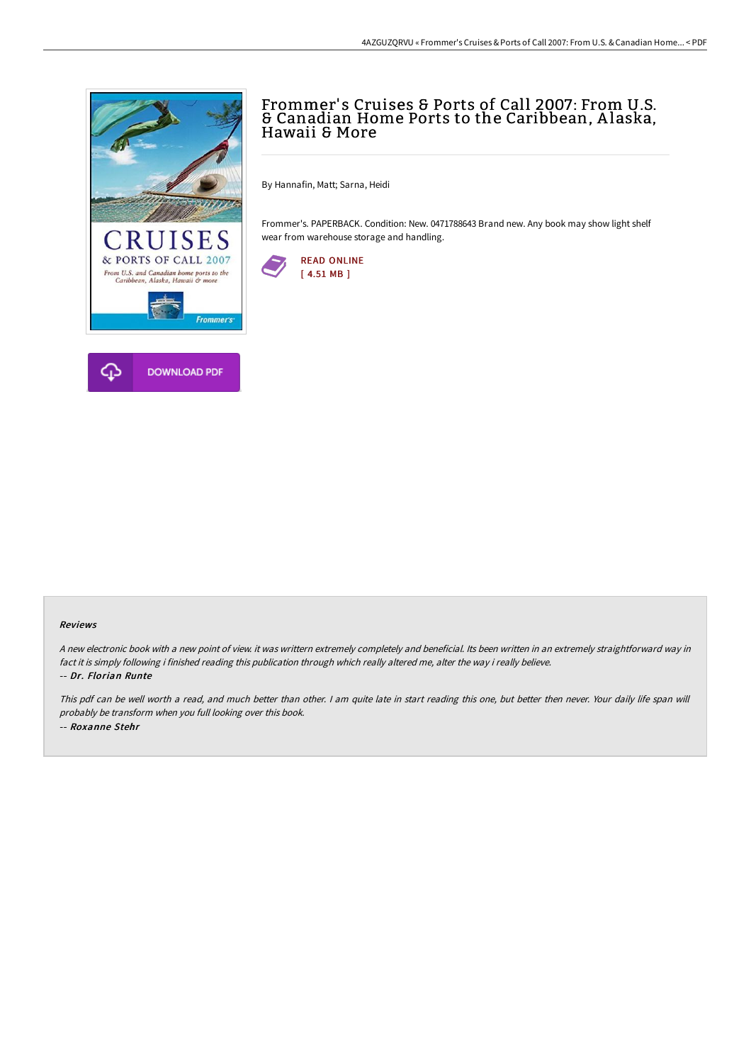

# Frommer's Cruises & Ports of Call 2007: From U.S. & Canadian Home Ports to the Caribbean, <sup>A</sup> laska, Hawaii & More

By Hannafin, Matt; Sarna, Heidi

Frommer's. PAPERBACK. Condition: New. 0471788643 Brand new. Any book may show light shelf wear from warehouse storage and handling.



#### Reviews

<sup>A</sup> new electronic book with <sup>a</sup> new point of view. it was writtern extremely completely and beneficial. Its been written in an extremely straightforward way in fact it is simply following i finished reading this publication through which really altered me, alter the way i really believe. -- Dr. Florian Runte

This pdf can be well worth <sup>a</sup> read, and much better than other. <sup>I</sup> am quite late in start reading this one, but better then never. Your daily life span will probably be transform when you full looking over this book. -- Roxanne Stehr